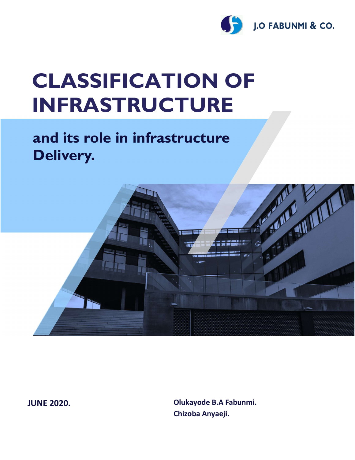

# CLASSIFICATION OF INFRASTRUCTURE

# and its role in infrastructure Delivery.



JUNE 2020.

Olukayode B.A Fabunmi. Chizoba Anyaeji.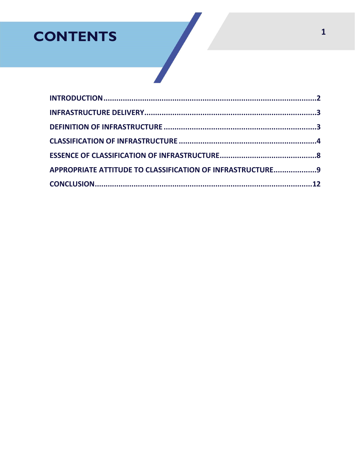# **CONTENTS**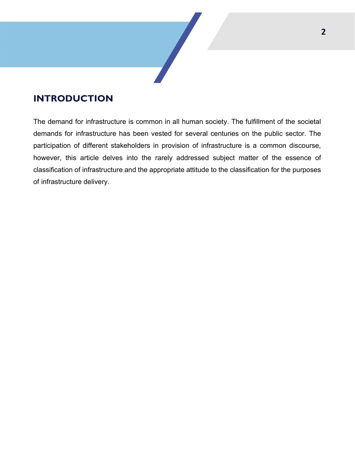# INTRODUCTION

The demand for infrastructure is common in all human society. The fulfillment of the societal demands for infrastructure has been vested for several centuries on the public sector. The participation of different stakeholders in provision of infrastructure is a common discourse, however, this article delves into the rarely addressed subject matter of the essence of classification of infrastructure and the appropriate attitude to the classification for the purposes of infrastructure delivery.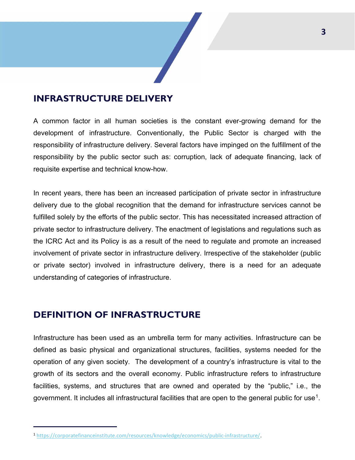### INFRASTRUCTURE DELIVERY

A common factor in all human societies is the constant ever-growing demand for the development of infrastructure. Conventionally, the Public Sector is charged with the responsibility of infrastructure delivery. Several factors have impinged on the fulfillment of the responsibility by the public sector such as: corruption, lack of adequate financing, lack of requisite expertise and technical know-how.

In recent years, there has been an increased participation of private sector in infrastructure delivery due to the global recognition that the demand for infrastructure services cannot be fulfilled solely by the efforts of the public sector. This has necessitated increased attraction of private sector to infrastructure delivery. The enactment of legislations and regulations such as the ICRC Act and its Policy is as a result of the need to regulate and promote an increased involvement of private sector in infrastructure delivery. Irrespective of the stakeholder (public or private sector) involved in infrastructure delivery, there is a need for an adequate understanding of categories of infrastructure.

### DEFINITION OF INFRASTRUCTURE

Infrastructure has been used as an umbrella term for many activities. Infrastructure can be defined as basic physical and organizational structures, facilities, systems needed for the operation of any given society. The development of a country's infrastructure is vital to the growth of its sectors and the overall economy. Public infrastructure refers to infrastructure facilities, systems, and structures that are owned and operated by the "public," i.e., the government. It includes all infrastructural facilities that are open to the general public for use $^{\rm 1}.$ 

<sup>1</sup> https://corporatefinanceinstitute.com/resources/knowledge/economics/public-infrastructure/.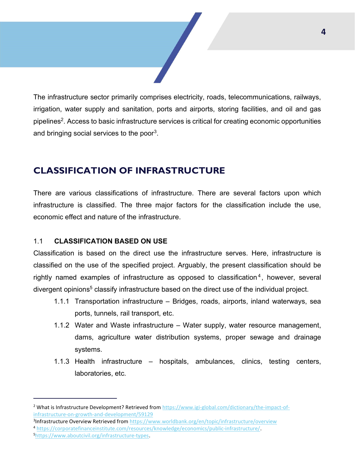The infrastructure sector primarily comprises electricity, roads, telecommunications, railways, irrigation, water supply and sanitation, ports and airports, storing facilities, and oil and gas pipelines<sup>2</sup>. Access to basic infrastructure services is critical for creating economic opportunities and bringing social services to the poor<sup>3</sup>.

## CLASSIFICATION OF INFRASTRUCTURE

There are various classifications of infrastructure. There are several factors upon which infrastructure is classified. The three major factors for the classification include the use, economic effect and nature of the infrastructure.

#### 1.1 CLASSIFICATION BASED ON USE

Classification is based on the direct use the infrastructure serves. Here, infrastructure is classified on the use of the specified project. Arguably, the present classification should be rightly named examples of infrastructure as opposed to classification<sup>4</sup>, however, several divergent opinions<sup>5</sup> classify infrastructure based on the direct use of the individual project.

- 1.1.1 Transportation infrastructure Bridges, roads, airports, inland waterways, sea ports, tunnels, rail transport, etc.
- 1.1.2 Water and Waste infrastructure Water supply, water resource management, dams, agriculture water distribution systems, proper sewage and drainage systems.
- 1.1.3 Health infrastructure hospitals, ambulances, clinics, testing centers, laboratories, etc.

<sup>&</sup>lt;sup>2</sup> What is Infrastructure Development? Retrieved from https://www.igi-global.com/dictionary/the-impact-ofinfrastructure-on-growth-and-development/59129

<sup>&</sup>lt;sup>3</sup>Infrastructure Overview Retrieved from https://www.worldbank.org/en/topic/infrastructure/overview <sup>4</sup> https://corporatefinanceinstitute.com/resources/knowledge/economics/public-infrastructure/.

<sup>5</sup>https://www.aboutcivil.org/infrastructure-types.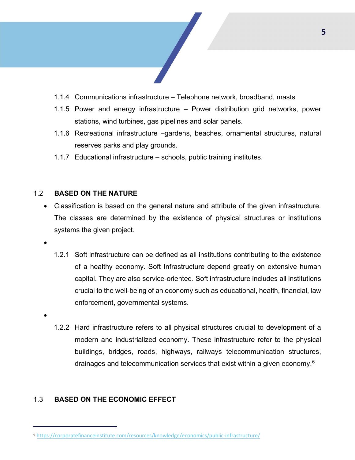

- 1.1.4 Communications infrastructure Telephone network, broadband, masts
- 1.1.5 Power and energy infrastructure Power distribution grid networks, power stations, wind turbines, gas pipelines and solar panels.
- 1.1.6 Recreational infrastructure –gardens, beaches, ornamental structures, natural reserves parks and play grounds.
- 1.1.7 Educational infrastructure schools, public training institutes.

#### 1.2 BASED ON THE NATURE

- Classification is based on the general nature and attribute of the given infrastructure. The classes are determined by the existence of physical structures or institutions systems the given project.
- $\bullet$
- 1.2.1 Soft infrastructure can be defined as all institutions contributing to the existence of a healthy economy. Soft Infrastructure depend greatly on extensive human capital. They are also service-oriented. Soft infrastructure includes all institutions crucial to the well-being of an economy such as educational, health, financial, law enforcement, governmental systems.
- $\bullet$
- 1.2.2 Hard infrastructure refers to all physical structures crucial to development of a modern and industrialized economy. These infrastructure refer to the physical buildings, bridges, roads, highways, railways telecommunication structures, drainages and telecommunication services that exist within a given economy.<sup>6</sup>

#### 1.3 BASED ON THE ECONOMIC EFFECT

<sup>6</sup> https://corporatefinanceinstitute.com/resources/knowledge/economics/public-infrastructure/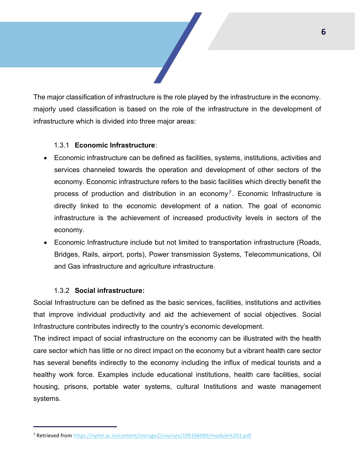The major classification of infrastructure is the role played by the infrastructure in the economy. majorly used classification is based on the role of the infrastructure in the development of infrastructure which is divided into three major areas:

#### 1.3.1 Economic Infrastructure:

- Economic infrastructure can be defined as facilities, systems, institutions, activities and services channeled towards the operation and development of other sectors of the economy. Economic infrastructure refers to the basic facilities which directly benefit the process of production and distribution in an economy<sup>7</sup>. Economic Infrastructure is directly linked to the economic development of a nation. The goal of economic infrastructure is the achievement of increased productivity levels in sectors of the economy.
- Economic Infrastructure include but not limited to transportation infrastructure (Roads, Bridges, Rails, airport, ports), Power transmission Systems, Telecommunications, Oil and Gas infrastructure and agriculture infrastructure.

#### 1.3.2 Social infrastructure:

Social Infrastructure can be defined as the basic services, facilities, institutions and activities that improve individual productivity and aid the achievement of social objectives. Social Infrastructure contributes indirectly to the country's economic development.

The indirect impact of social infrastructure on the economy can be illustrated with the health care sector which has little or no direct impact on the economy but a vibrant health care sector has several benefits indirectly to the economy including the influx of medical tourists and a healthy work force. Examples include educational institutions, health care facilities, social housing, prisons, portable water systems, cultural Institutions and waste management systems.

<sup>7</sup> Retrieved from https://nptel.ac.in/content/storage2/courses/109106089/module%201.pdf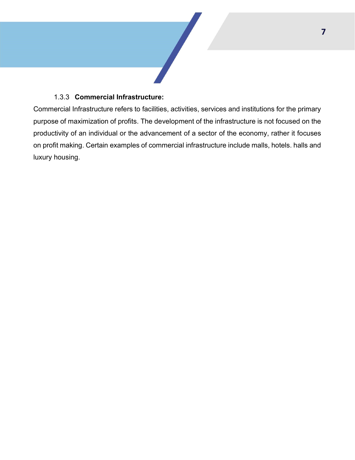#### 1.3.3 Commercial Infrastructure:

Commercial Infrastructure refers to facilities, activities, services and institutions for the primary purpose of maximization of profits. The development of the infrastructure is not focused on the productivity of an individual or the advancement of a sector of the economy, rather it focuses on profit making. Certain examples of commercial infrastructure include malls, hotels. halls and luxury housing.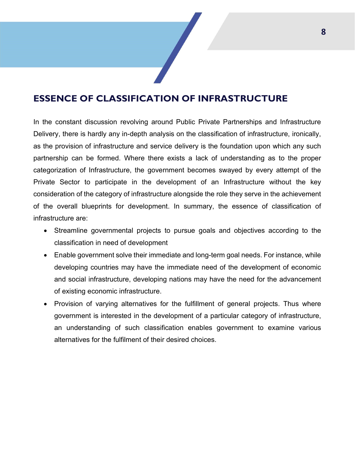# ESSENCE OF CLASSIFICATION OF INFRASTRUCTURE

In the constant discussion revolving around Public Private Partnerships and Infrastructure Delivery, there is hardly any in-depth analysis on the classification of infrastructure, ironically, as the provision of infrastructure and service delivery is the foundation upon which any such partnership can be formed. Where there exists a lack of understanding as to the proper categorization of Infrastructure, the government becomes swayed by every attempt of the Private Sector to participate in the development of an Infrastructure without the key consideration of the category of infrastructure alongside the role they serve in the achievement of the overall blueprints for development. In summary, the essence of classification of infrastructure are:

- Streamline governmental projects to pursue goals and objectives according to the classification in need of development
- Enable government solve their immediate and long-term goal needs. For instance, while developing countries may have the immediate need of the development of economic and social infrastructure, developing nations may have the need for the advancement of existing economic infrastructure.
- Provision of varying alternatives for the fulfillment of general projects. Thus where government is interested in the development of a particular category of infrastructure, an understanding of such classification enables government to examine various alternatives for the fulfilment of their desired choices.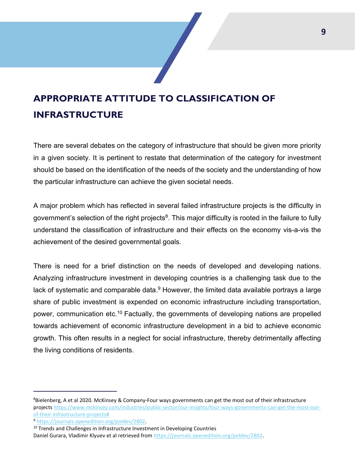# APPROPRIATE ATTITUDE TO CLASSIFICATION OF INFRASTRUCTURE

There are several debates on the category of infrastructure that should be given more priority in a given society. It is pertinent to restate that determination of the category for investment should be based on the identification of the needs of the society and the understanding of how the particular infrastructure can achieve the given societal needs.

A major problem which has reflected in several failed infrastructure projects is the difficulty in government's selection of the right projects<sup>8</sup>. This major difficulty is rooted in the failure to fully understand the classification of infrastructure and their effects on the economy vis-a-vis the achievement of the desired governmental goals.

There is need for a brief distinction on the needs of developed and developing nations. Analyzing infrastructure investment in developing countries is a challenging task due to the lack of systematic and comparable data. $^9$  However, the limited data available portrays a large share of public investment is expended on economic infrastructure including transportation, power, communication etc.<sup>10</sup> Factually, the governments of developing nations are propelled towards achievement of economic infrastructure development in a bid to achieve economic growth. This often results in a neglect for social infrastructure, thereby detrimentally affecting the living conditions of residents.

<sup>&</sup>lt;sup>8</sup>Bielenberg, A et al 2020. McKinsey & Company-Four ways governments can get the most out of their infrastructure projects https://www.mckinsey.com/industries/public-sector/our-insights/four-ways-governments-can-get-the-most-outof-their-infrastructure-projects#

<sup>9</sup> https://journals.openedition.org/poldev/2802.

<sup>&</sup>lt;sup>10</sup> Trends and Challenges in Infrastructure Investment in Developing Countries

Daniel Gurara, Vladimir Klyuev et al retrieved from https://journals.openedition.org/poldev/2802.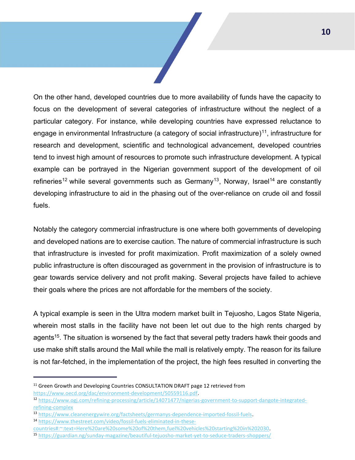On the other hand, developed countries due to more availability of funds have the capacity to focus on the development of several categories of infrastructure without the neglect of a particular category. For instance, while developing countries have expressed reluctance to engage in environmental Infrastructure (a category of social infrastructure)<sup>11</sup>, infrastructure for research and development, scientific and technological advancement, developed countries tend to invest high amount of resources to promote such infrastructure development. A typical example can be portrayed in the Nigerian government support of the development of oil refineries<sup>12</sup> while several governments such as Germany<sup>13</sup>, Norway, Israel<sup>14</sup> are constantly developing infrastructure to aid in the phasing out of the over-reliance on crude oil and fossil fuels.

Notably the category commercial infrastructure is one where both governments of developing and developed nations are to exercise caution. The nature of commercial infrastructure is such that infrastructure is invested for profit maximization. Profit maximization of a solely owned public infrastructure is often discouraged as government in the provision of infrastructure is to gear towards service delivery and not profit making. Several projects have failed to achieve their goals where the prices are not affordable for the members of the society.

A typical example is seen in the Ultra modern market built in Tejuosho, Lagos State Nigeria, wherein most stalls in the facility have not been let out due to the high rents charged by agents<sup>15</sup>. The situation is worsened by the fact that several petty traders hawk their goods and use make shift stalls around the Mall while the mall is relatively empty. The reason for its failure is not far-fetched, in the implementation of the project, the high fees resulted in converting the

https://www.oecd.org/dac/environment-development/50559116.pdf.

<sup>&</sup>lt;sup>11</sup> Green Growth and Developing Countries CONSULTATION DRAFT page 12 retrieved from

<sup>12</sup> https://www.ogj.com/refining-processing/article/14071477/nigerias-government-to-support-dangote-integratedrefining-complex

<sup>13</sup> https://www.cleanenergywire.org/factsheets/germanys-dependence-imported-fossil-fuels.

<sup>14</sup> https://www.thestreet.com/video/fossil-fuels-eliminated-in-these-

countries#:~:text=Here%20are%20some%20of%20them,fuel%20vehicles%20starting%20in%202030.

<sup>15</sup> https://guardian.ng/sunday-magazine/beautiful-tejuosho-market-yet-to-seduce-traders-shoppers/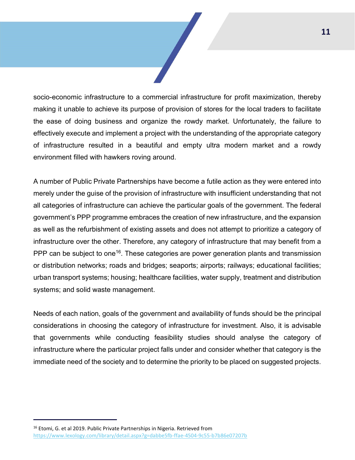socio-economic infrastructure to a commercial infrastructure for profit maximization, thereby making it unable to achieve its purpose of provision of stores for the local traders to facilitate the ease of doing business and organize the rowdy market. Unfortunately, the failure to effectively execute and implement a project with the understanding of the appropriate category of infrastructure resulted in a beautiful and empty ultra modern market and a rowdy environment filled with hawkers roving around.

A number of Public Private Partnerships have become a futile action as they were entered into merely under the guise of the provision of infrastructure with insufficient understanding that not all categories of infrastructure can achieve the particular goals of the government. The federal government's PPP programme embraces the creation of new infrastructure, and the expansion as well as the refurbishment of existing assets and does not attempt to prioritize a category of infrastructure over the other. Therefore, any category of infrastructure that may benefit from a PPP can be subject to one<sup>16</sup>. These categories are power generation plants and transmission or distribution networks; roads and bridges; seaports; airports; railways; educational facilities; urban transport systems; housing; healthcare facilities, water supply, treatment and distribution systems; and solid waste management.

Needs of each nation, goals of the government and availability of funds should be the principal considerations in choosing the category of infrastructure for investment. Also, it is advisable that governments while conducting feasibility studies should analyse the category of infrastructure where the particular project falls under and consider whether that category is the immediate need of the society and to determine the priority to be placed on suggested projects.

<sup>16</sup> Etomi, G. et al 2019. Public Private Partnerships in Nigeria. Retrieved from https://www.lexology.com/library/detail.aspx?g=dabbe5fb-ffae-4504-9c55-b7b86e07207b